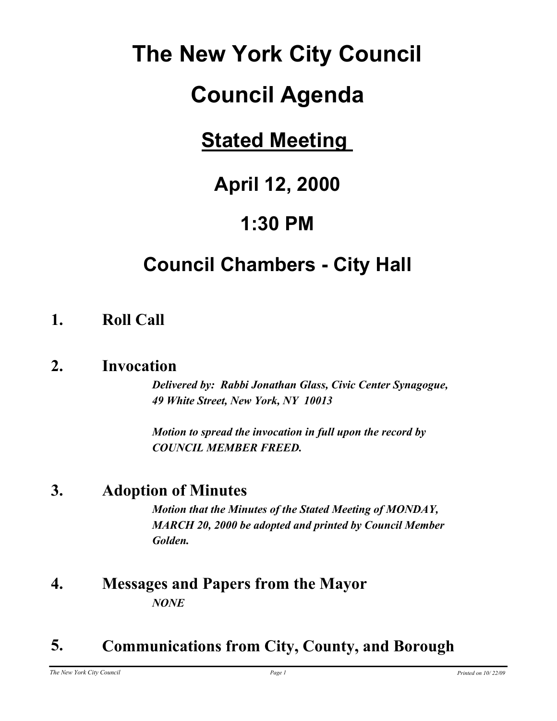# **The New York City Council**

# **Council Agenda**

## **Stated Meeting**

## **April 12, 2000**

## **1:30 PM**

## **Council Chambers - City Hall**

## **1. Roll Call**

## **2. Invocation**

*Delivered by: Rabbi Jonathan Glass, Civic Center Synagogue, 49 White Street, New York, NY 10013*

*Motion to spread the invocation in full upon the record by COUNCIL MEMBER FREED.*

## **3. Adoption of Minutes**

*Motion that the Minutes of the Stated Meeting of MONDAY, MARCH 20, 2000 be adopted and printed by Council Member Golden.*

## **4. Messages and Papers from the Mayor** *NONE*

## **5. Communications from City, County, and Borough**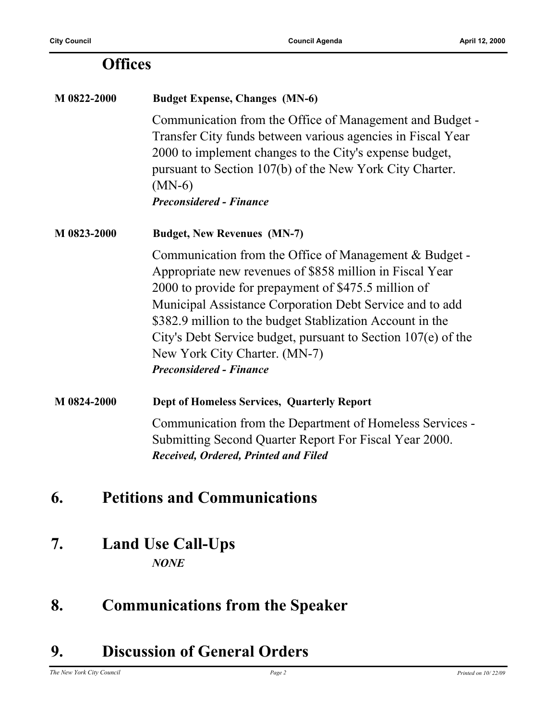### **Offices**

## **M 0822-2000 Budget Expense, Changes (MN-6)** Communication from the Office of Management and Budget - Transfer City funds between various agencies in Fiscal Year 2000 to implement changes to the City's expense budget, pursuant to Section 107(b) of the New York City Charter. (MN-6) *Preconsidered - Finance* **M 0823-2000 Budget, New Revenues (MN-7)** Communication from the Office of Management & Budget - Appropriate new revenues of \$858 million in Fiscal Year 2000 to provide for prepayment of \$475.5 million of Municipal Assistance Corporation Debt Service and to add \$382.9 million to the budget Stablization Account in the City's Debt Service budget, pursuant to Section 107(e) of the New York City Charter. (MN-7) *Preconsidered - Finance* **M 0824-2000 Dept of Homeless Services, Quarterly Report** Communication from the Department of Homeless Services - Submitting Second Quarter Report For Fiscal Year 2000. *Received, Ordered, Printed and Filed* **6. Petitions and Communications**

**7. Land Use Call-Ups** *NONE*

## **8. Communications from the Speaker**

## **9. Discussion of General Orders**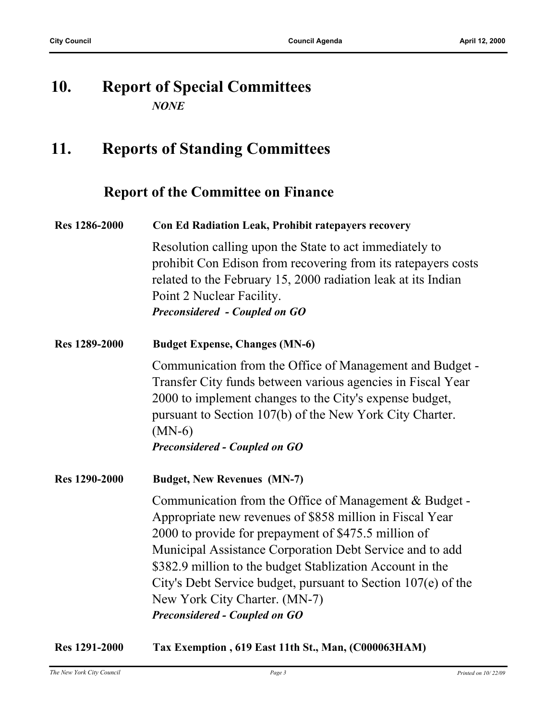### **10. Report of Special Committees** *NONE*

## **11. Reports of Standing Committees**

#### **Report of the Committee on Finance**

| <b>Res</b> 1286-2000 | <b>Con Ed Radiation Leak, Prohibit ratepayers recovery</b>                                                                                                                                                                                                 |
|----------------------|------------------------------------------------------------------------------------------------------------------------------------------------------------------------------------------------------------------------------------------------------------|
|                      | Resolution calling upon the State to act immediately to<br>prohibit Con Edison from recovering from its rate payers costs<br>related to the February 15, 2000 radiation leak at its Indian<br>Point 2 Nuclear Facility.<br>Preconsidered - Coupled on GO   |
| <b>Res</b> 1289-2000 | <b>Budget Expense, Changes (MN-6)</b>                                                                                                                                                                                                                      |
|                      | Communication from the Office of Management and Budget -<br>Transfer City funds between various agencies in Fiscal Year<br>2000 to implement changes to the City's expense budget,<br>pursuant to Section 107(b) of the New York City Charter.<br>$(MN-6)$ |

*Preconsidered - Coupled on GO*

**Res 1290-2000 Budget, New Revenues (MN-7)**

Communication from the Office of Management & Budget - Appropriate new revenues of \$858 million in Fiscal Year 2000 to provide for prepayment of \$475.5 million of Municipal Assistance Corporation Debt Service and to add \$382.9 million to the budget Stablization Account in the City's Debt Service budget, pursuant to Section 107(e) of the New York City Charter. (MN-7) *Preconsidered - Coupled on GO*

**Res 1291-2000 Tax Exemption , 619 East 11th St., Man, (C000063HAM)**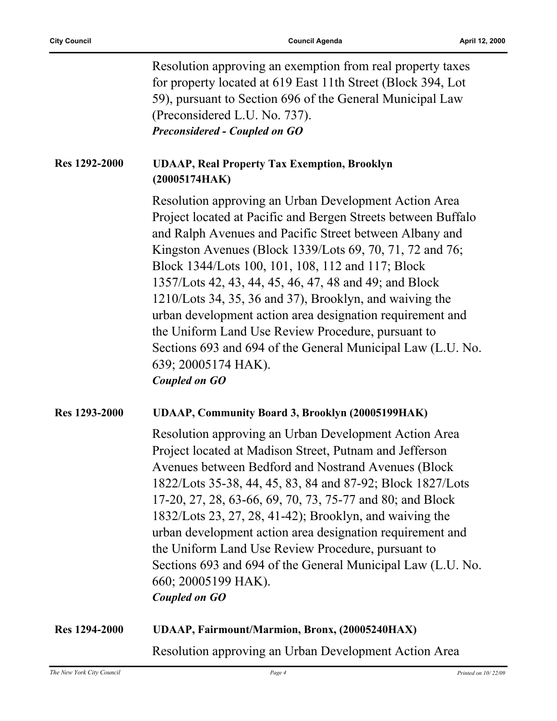|               | Resolution approving an exemption from real property taxes<br>for property located at 619 East 11th Street (Block 394, Lot<br>59), pursuant to Section 696 of the General Municipal Law<br>(Preconsidered L.U. No. 737).<br><b>Preconsidered - Coupled on GO</b>                                                                                                                                                                                                                                                                                                                                                                                         |
|---------------|----------------------------------------------------------------------------------------------------------------------------------------------------------------------------------------------------------------------------------------------------------------------------------------------------------------------------------------------------------------------------------------------------------------------------------------------------------------------------------------------------------------------------------------------------------------------------------------------------------------------------------------------------------|
| Res 1292-2000 | <b>UDAAP, Real Property Tax Exemption, Brooklyn</b><br>(20005174HAK)                                                                                                                                                                                                                                                                                                                                                                                                                                                                                                                                                                                     |
|               | Resolution approving an Urban Development Action Area<br>Project located at Pacific and Bergen Streets between Buffalo<br>and Ralph Avenues and Pacific Street between Albany and<br>Kingston Avenues (Block 1339/Lots 69, 70, 71, 72 and 76;<br>Block 1344/Lots 100, 101, 108, 112 and 117; Block<br>1357/Lots 42, 43, 44, 45, 46, 47, 48 and 49; and Block<br>1210/Lots 34, 35, 36 and 37), Brooklyn, and waiving the<br>urban development action area designation requirement and<br>the Uniform Land Use Review Procedure, pursuant to<br>Sections 693 and 694 of the General Municipal Law (L.U. No.<br>639; 20005174 HAK).<br><b>Coupled on GO</b> |
| Res 1293-2000 | <b>UDAAP, Community Board 3, Brooklyn (20005199HAK)</b>                                                                                                                                                                                                                                                                                                                                                                                                                                                                                                                                                                                                  |
|               | Resolution approving an Urban Development Action Area<br>Project located at Madison Street, Putnam and Jefferson<br>Avenues between Bedford and Nostrand Avenues (Block<br>1822/Lots 35-38, 44, 45, 83, 84 and 87-92; Block 1827/Lots<br>17-20, 27, 28, 63-66, 69, 70, 73, 75-77 and 80; and Block<br>1832/Lots 23, 27, 28, 41-42); Brooklyn, and waiving the<br>urban development action area designation requirement and<br>the Uniform Land Use Review Procedure, pursuant to<br>Sections 693 and 694 of the General Municipal Law (L.U. No.<br>660; 20005199 HAK).<br><b>Coupled on GO</b>                                                           |
| Res 1294-2000 | UDAAP, Fairmount/Marmion, Bronx, (20005240HAX)                                                                                                                                                                                                                                                                                                                                                                                                                                                                                                                                                                                                           |

## Resolution approving an Urban Development Action Area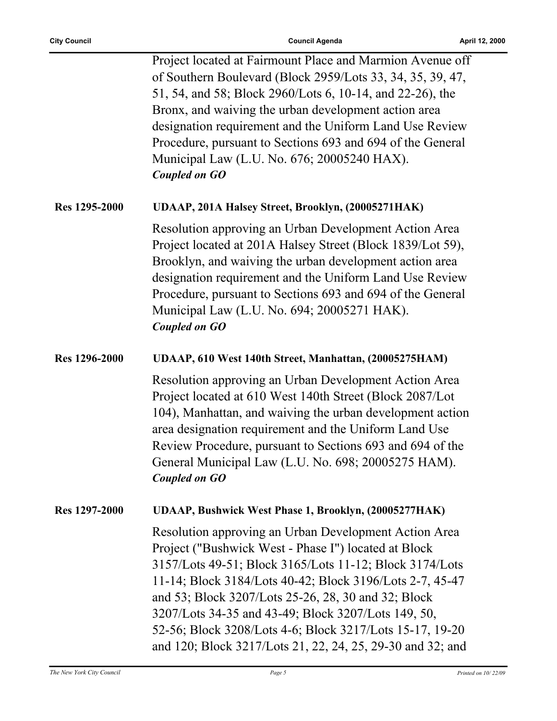ř.

|                      | Project located at Fairmount Place and Marmion Avenue off<br>of Southern Boulevard (Block 2959/Lots 33, 34, 35, 39, 47,<br>51, 54, and 58; Block 2960/Lots 6, 10-14, and 22-26), the<br>Bronx, and waiving the urban development action area<br>designation requirement and the Uniform Land Use Review<br>Procedure, pursuant to Sections 693 and 694 of the General<br>Municipal Law (L.U. No. 676; 20005240 HAX).<br><b>Coupled on GO</b>                                 |
|----------------------|------------------------------------------------------------------------------------------------------------------------------------------------------------------------------------------------------------------------------------------------------------------------------------------------------------------------------------------------------------------------------------------------------------------------------------------------------------------------------|
| Res 1295-2000        | UDAAP, 201A Halsey Street, Brooklyn, (20005271HAK)                                                                                                                                                                                                                                                                                                                                                                                                                           |
|                      | Resolution approving an Urban Development Action Area<br>Project located at 201A Halsey Street (Block 1839/Lot 59),<br>Brooklyn, and waiving the urban development action area<br>designation requirement and the Uniform Land Use Review<br>Procedure, pursuant to Sections 693 and 694 of the General<br>Municipal Law (L.U. No. 694; 20005271 HAK).<br><b>Coupled on GO</b>                                                                                               |
| <b>Res</b> 1296-2000 | UDAAP, 610 West 140th Street, Manhattan, (20005275HAM)                                                                                                                                                                                                                                                                                                                                                                                                                       |
|                      | Resolution approving an Urban Development Action Area<br>Project located at 610 West 140th Street (Block 2087/Lot<br>104), Manhattan, and waiving the urban development action<br>area designation requirement and the Uniform Land Use<br>Review Procedure, pursuant to Sections 693 and 694 of the<br>General Municipal Law (L.U. No. 698; 20005275 HAM).<br><b>Coupled on GO</b>                                                                                          |
| Res 1297-2000        | UDAAP, Bushwick West Phase 1, Brooklyn, (20005277HAK)                                                                                                                                                                                                                                                                                                                                                                                                                        |
|                      | Resolution approving an Urban Development Action Area<br>Project ("Bushwick West - Phase I") located at Block<br>3157/Lots 49-51; Block 3165/Lots 11-12; Block 3174/Lots<br>11-14; Block 3184/Lots 40-42; Block 3196/Lots 2-7, 45-47<br>and 53; Block 3207/Lots 25-26, 28, 30 and 32; Block<br>3207/Lots 34-35 and 43-49; Block 3207/Lots 149, 50,<br>52-56; Block 3208/Lots 4-6; Block 3217/Lots 15-17, 19-20<br>and 120; Block 3217/Lots 21, 22, 24, 25, 29-30 and 32; and |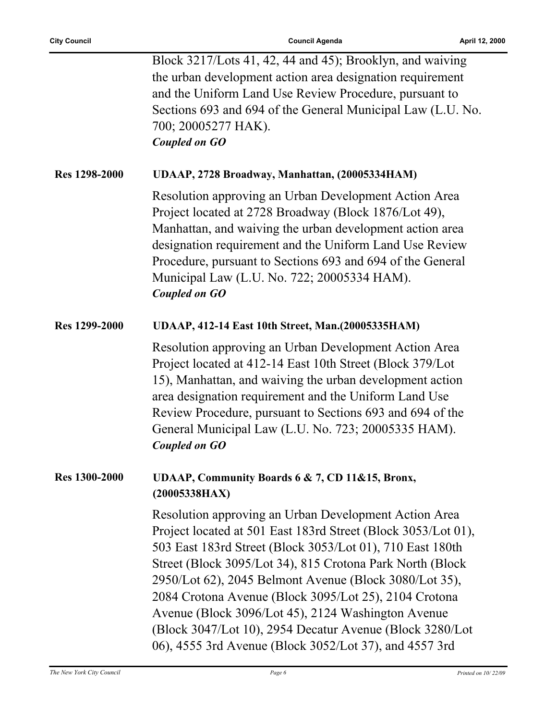ř.

|                      | Block 3217/Lots 41, 42, 44 and 45); Brooklyn, and waiving<br>the urban development action area designation requirement<br>and the Uniform Land Use Review Procedure, pursuant to<br>Sections 693 and 694 of the General Municipal Law (L.U. No.<br>700; 20005277 HAK).<br><b>Coupled on GO</b>                                                                                                                                                                                                                                                   |
|----------------------|--------------------------------------------------------------------------------------------------------------------------------------------------------------------------------------------------------------------------------------------------------------------------------------------------------------------------------------------------------------------------------------------------------------------------------------------------------------------------------------------------------------------------------------------------|
| <b>Res 1298-2000</b> | UDAAP, 2728 Broadway, Manhattan, (20005334HAM)                                                                                                                                                                                                                                                                                                                                                                                                                                                                                                   |
|                      | Resolution approving an Urban Development Action Area<br>Project located at 2728 Broadway (Block 1876/Lot 49),<br>Manhattan, and waiving the urban development action area<br>designation requirement and the Uniform Land Use Review<br>Procedure, pursuant to Sections 693 and 694 of the General<br>Municipal Law (L.U. No. 722; 20005334 HAM).<br><b>Coupled on GO</b>                                                                                                                                                                       |
| <b>Res</b> 1299-2000 | UDAAP, 412-14 East 10th Street, Man.(20005335HAM)                                                                                                                                                                                                                                                                                                                                                                                                                                                                                                |
|                      | Resolution approving an Urban Development Action Area<br>Project located at 412-14 East 10th Street (Block 379/Lot<br>15), Manhattan, and waiving the urban development action<br>area designation requirement and the Uniform Land Use<br>Review Procedure, pursuant to Sections 693 and 694 of the<br>General Municipal Law (L.U. No. 723; 20005335 HAM).<br><b>Coupled on GO</b>                                                                                                                                                              |
| <b>Res</b> 1300-2000 | UDAAP, Community Boards 6 & 7, CD 11&15, Bronx,<br>(20005338HAX)                                                                                                                                                                                                                                                                                                                                                                                                                                                                                 |
|                      | Resolution approving an Urban Development Action Area<br>Project located at 501 East 183rd Street (Block 3053/Lot 01),<br>503 East 183rd Street (Block 3053/Lot 01), 710 East 180th<br>Street (Block 3095/Lot 34), 815 Crotona Park North (Block<br>2950/Lot 62), 2045 Belmont Avenue (Block 3080/Lot 35),<br>2084 Crotona Avenue (Block 3095/Lot 25), 2104 Crotona<br>Avenue (Block 3096/Lot 45), 2124 Washington Avenue<br>(Block 3047/Lot 10), 2954 Decatur Avenue (Block 3280/Lot)<br>06), 4555 3rd Avenue (Block 3052/Lot 37), and 4557 3rd |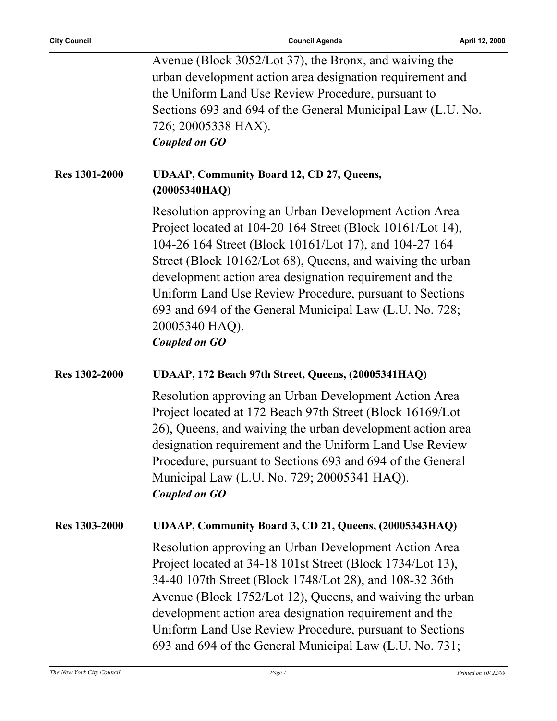|                      | Avenue (Block 3052/Lot 37), the Bronx, and waiving the      |
|----------------------|-------------------------------------------------------------|
|                      | urban development action area designation requirement and   |
|                      | the Uniform Land Use Review Procedure, pursuant to          |
|                      | Sections 693 and 694 of the General Municipal Law (L.U. No. |
|                      | 726; 20005338 HAX).                                         |
|                      | <b>Coupled on GO</b>                                        |
|                      |                                                             |
| <b>Res 1301-2000</b> | <b>UDAAP, Community Board 12, CD 27, Queens,</b>            |
|                      | (20005340HAQ)                                               |
|                      |                                                             |
|                      | Resolution approving an Urban Development Action Area       |
|                      | Project located at 104-20 164 Street (Block 10161/Lot 14),  |
|                      | 104-26 164 Street (Block 10161/Lot 17), and 104-27 164      |
|                      | Street (Block 10162/Lot 68), Queens, and waiving the urban  |
|                      | development action area designation requirement and the     |
|                      | Uniform Land Use Review Procedure, pursuant to Sections     |
|                      | 693 and 694 of the General Municipal Law (L.U. No. 728;     |
|                      | 20005340 HAQ).                                              |
|                      | <b>Coupled on GO</b>                                        |
|                      |                                                             |
| <b>Res 1302-2000</b> | UDAAP, 172 Beach 97th Street, Queens, (20005341HAQ)         |
|                      | Resolution approving an Urban Development Action Area       |
|                      | Project located at 172 Beach 97th Street (Block 16169/Lot)  |
|                      | 26), Queens, and waiving the urban development action area  |
|                      | designation requirement and the Uniform Land Use Review     |
|                      |                                                             |
|                      | Procedure, pursuant to Sections 693 and 694 of the General  |
|                      | Municipal Law (L.U. No. 729; 20005341 HAQ).                 |
|                      | <b>Coupled on GO</b>                                        |
| Res 1303-2000        | UDAAP, Community Board 3, CD 21, Queens, (20005343HAQ)      |
|                      | Resolution approving an Urban Development Action Area       |
|                      | Project located at 34-18 101st Street (Block 1734/Lot 13),  |
|                      | 34-40 107th Street (Block 1748/Lot 28), and 108-32 36th     |
|                      | Avenue (Block 1752/Lot 12), Queens, and waiving the urban   |
|                      |                                                             |
|                      | development action area designation requirement and the     |
|                      | Uniform Land Use Review Procedure, pursuant to Sections     |
|                      | 693 and 694 of the General Municipal Law (L.U. No. 731;     |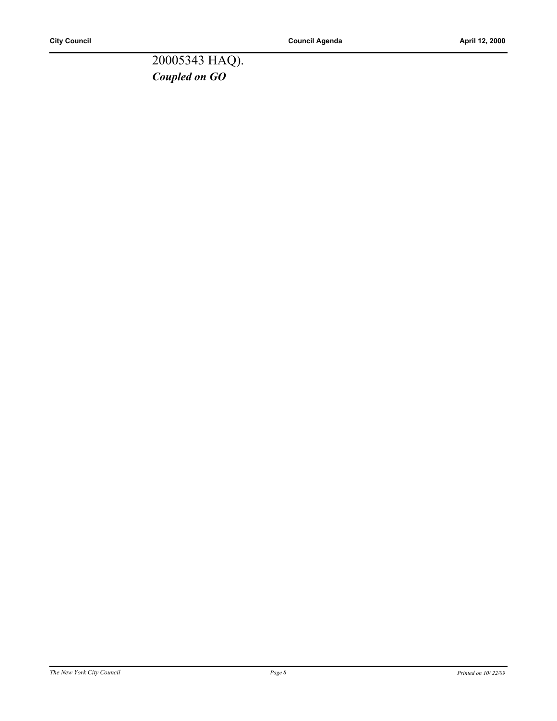20005343 HAQ). *Coupled on GO*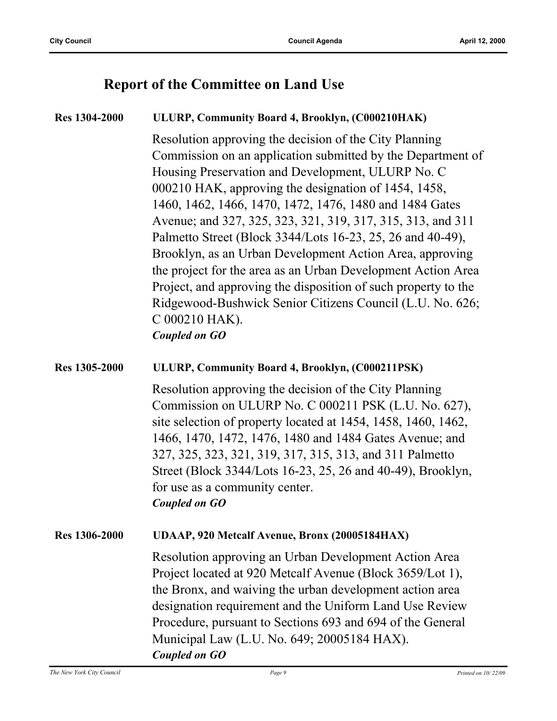## **Report of the Committee on Land Use**

| <b>Res</b> 1304-2000 | ULURP, Community Board 4, Brooklyn, (C000210HAK)                                                                                                                                                                                                                                                                                                                                                                                                                                                                                                                                                                                                                                                                                |
|----------------------|---------------------------------------------------------------------------------------------------------------------------------------------------------------------------------------------------------------------------------------------------------------------------------------------------------------------------------------------------------------------------------------------------------------------------------------------------------------------------------------------------------------------------------------------------------------------------------------------------------------------------------------------------------------------------------------------------------------------------------|
|                      | Resolution approving the decision of the City Planning<br>Commission on an application submitted by the Department of<br>Housing Preservation and Development, ULURP No. C<br>000210 HAK, approving the designation of 1454, 1458,<br>1460, 1462, 1466, 1470, 1472, 1476, 1480 and 1484 Gates<br>Avenue; and 327, 325, 323, 321, 319, 317, 315, 313, and 311<br>Palmetto Street (Block 3344/Lots 16-23, 25, 26 and 40-49),<br>Brooklyn, as an Urban Development Action Area, approving<br>the project for the area as an Urban Development Action Area<br>Project, and approving the disposition of such property to the<br>Ridgewood-Bushwick Senior Citizens Council (L.U. No. 626;<br>C 000210 HAK).<br><b>Coupled on GO</b> |
| <b>Res</b> 1305-2000 | ULURP, Community Board 4, Brooklyn, (C000211PSK)                                                                                                                                                                                                                                                                                                                                                                                                                                                                                                                                                                                                                                                                                |
|                      | Resolution approving the decision of the City Planning<br>Commission on ULURP No. C 000211 PSK (L.U. No. 627),<br>site selection of property located at 1454, 1458, 1460, 1462,<br>1466, 1470, 1472, 1476, 1480 and 1484 Gates Avenue; and<br>327, 325, 323, 321, 319, 317, 315, 313, and 311 Palmetto<br>Street (Block 3344/Lots 16-23, 25, 26 and 40-49), Brooklyn,<br>for use as a community center.<br><b>Coupled on GO</b>                                                                                                                                                                                                                                                                                                 |
| <b>Res</b> 1306-2000 | UDAAP, 920 Metcalf Avenue, Bronx (20005184HAX)                                                                                                                                                                                                                                                                                                                                                                                                                                                                                                                                                                                                                                                                                  |
|                      | Resolution approving an Urban Development Action Area<br>Project located at 920 Metcalf Avenue (Block 3659/Lot 1),<br>the Bronx, and waiving the urban development action area<br>designation requirement and the Uniform Land Use Review<br>Procedure, pursuant to Sections 693 and 694 of the General<br>Municipal Law (L.U. No. 649; 20005184 HAX).<br><b>Coupled on GO</b>                                                                                                                                                                                                                                                                                                                                                  |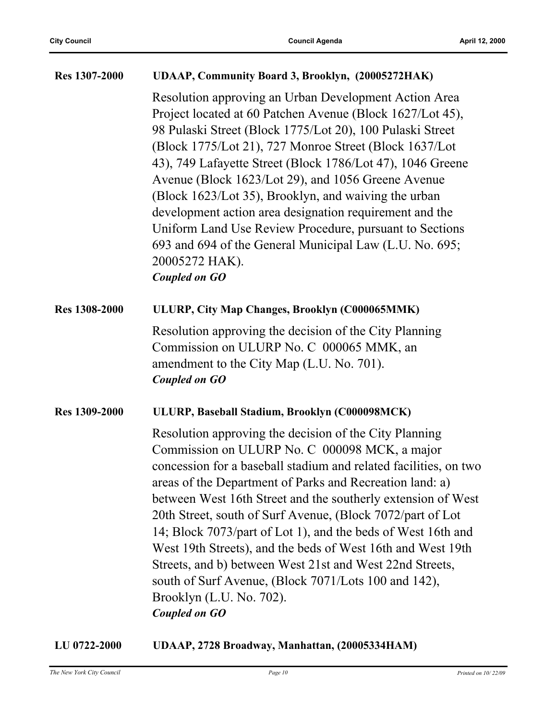#### **Res 1307-2000 UDAAP, Community Board 3, Brooklyn, (20005272HAK)**

Resolution approving an Urban Development Action Area Project located at 60 Patchen Avenue (Block 1627/Lot 45), 98 Pulaski Street (Block 1775/Lot 20), 100 Pulaski Street (Block 1775/Lot 21), 727 Monroe Street (Block 1637/Lot 43), 749 Lafayette Street (Block 1786/Lot 47), 1046 Greene Avenue (Block 1623/Lot 29), and 1056 Greene Avenue (Block 1623/Lot 35), Brooklyn, and waiving the urban development action area designation requirement and the Uniform Land Use Review Procedure, pursuant to Sections 693 and 694 of the General Municipal Law (L.U. No. 695; 20005272 HAK). *Coupled on GO*

## **Res 1308-2000 ULURP, City Map Changes, Brooklyn (C000065MMK)**

Resolution approving the decision of the City Planning Commission on ULURP No. C 000065 MMK, an amendment to the City Map (L.U. No. 701). *Coupled on GO*

#### **Res 1309-2000 ULURP, Baseball Stadium, Brooklyn (C000098MCK)**

Resolution approving the decision of the City Planning Commission on ULURP No. C 000098 MCK, a major concession for a baseball stadium and related facilities, on two areas of the Department of Parks and Recreation land: a) between West 16th Street and the southerly extension of West 20th Street, south of Surf Avenue, (Block 7072/part of Lot 14; Block 7073/part of Lot 1), and the beds of West 16th and West 19th Streets), and the beds of West 16th and West 19th Streets, and b) between West 21st and West 22nd Streets, south of Surf Avenue, (Block 7071/Lots 100 and 142), Brooklyn (L.U. No. 702). *Coupled on GO*

#### **LU 0722-2000 UDAAP, 2728 Broadway, Manhattan, (20005334HAM)**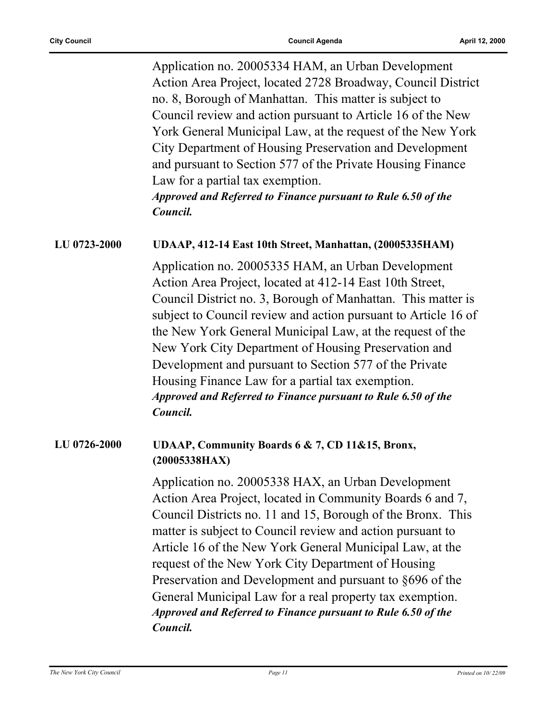Application no. 20005334 HAM, an Urban Development Action Area Project, located 2728 Broadway, Council District no. 8, Borough of Manhattan. This matter is subject to Council review and action pursuant to Article 16 of the New York General Municipal Law, at the request of the New York City Department of Housing Preservation and Development and pursuant to Section 577 of the Private Housing Finance Law for a partial tax exemption.

*Approved and Referred to Finance pursuant to Rule 6.50 of the Council.*

#### **LU 0723-2000 UDAAP, 412-14 East 10th Street, Manhattan, (20005335HAM)**

Application no. 20005335 HAM, an Urban Development Action Area Project, located at 412-14 East 10th Street, Council District no. 3, Borough of Manhattan. This matter is subject to Council review and action pursuant to Article 16 of the New York General Municipal Law, at the request of the New York City Department of Housing Preservation and Development and pursuant to Section 577 of the Private Housing Finance Law for a partial tax exemption. *Approved and Referred to Finance pursuant to Rule 6.50 of the Council.*

#### **LU 0726-2000 UDAAP, Community Boards 6 & 7, CD 11&15, Bronx, (20005338HAX)**

Application no. 20005338 HAX, an Urban Development Action Area Project, located in Community Boards 6 and 7, Council Districts no. 11 and 15, Borough of the Bronx. This matter is subject to Council review and action pursuant to Article 16 of the New York General Municipal Law, at the request of the New York City Department of Housing Preservation and Development and pursuant to §696 of the General Municipal Law for a real property tax exemption. *Approved and Referred to Finance pursuant to Rule 6.50 of the Council.*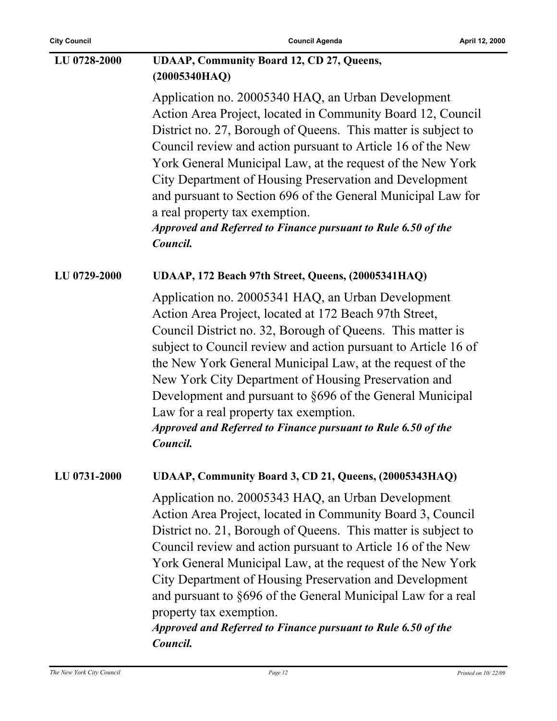| <b>City Council</b> | <b>Council Agenda</b>                                                                                                                                                                                                                                                                                                                                                                                                                                                                                                                                            | April 12, 2000 |
|---------------------|------------------------------------------------------------------------------------------------------------------------------------------------------------------------------------------------------------------------------------------------------------------------------------------------------------------------------------------------------------------------------------------------------------------------------------------------------------------------------------------------------------------------------------------------------------------|----------------|
| LU 0728-2000        | <b>UDAAP, Community Board 12, CD 27, Queens,</b><br>(20005340HAQ)                                                                                                                                                                                                                                                                                                                                                                                                                                                                                                |                |
|                     | Application no. 20005340 HAQ, an Urban Development<br>Action Area Project, located in Community Board 12, Council<br>District no. 27, Borough of Queens. This matter is subject to<br>Council review and action pursuant to Article 16 of the New<br>York General Municipal Law, at the request of the New York<br>City Department of Housing Preservation and Development<br>and pursuant to Section 696 of the General Municipal Law for<br>a real property tax exemption.<br><b>Approved and Referred to Finance pursuant to Rule 6.50 of the</b><br>Council. |                |
| LU 0729-2000        | UDAAP, 172 Beach 97th Street, Queens, (20005341HAQ)                                                                                                                                                                                                                                                                                                                                                                                                                                                                                                              |                |
|                     | Application no. 20005341 HAQ, an Urban Development<br>Action Area Project, located at 172 Beach 97th Street,<br>Council District no. 32, Borough of Queens. This matter is<br>subject to Council review and action pursuant to Article 16 of<br>the New York General Municipal Law, at the request of the<br>New York City Department of Housing Preservation and<br>Development and pursuant to §696 of the General Municipal<br>Law for a real property tax exemption.<br><b>Approved and Referred to Finance pursuant to Rule 6.50 of the</b><br>Council.     |                |
| LU 0731-2000        | UDAAP, Community Board 3, CD 21, Queens, (20005343HAQ)                                                                                                                                                                                                                                                                                                                                                                                                                                                                                                           |                |
|                     | Application no. 20005343 HAQ, an Urban Development<br>Action Area Project, located in Community Board 3, Council<br>District no. 21, Borough of Queens. This matter is subject to<br>Council review and action pursuant to Article 16 of the New<br>York General Municipal Law, at the request of the New York<br>City Department of Housing Preservation and Development<br>and pursuant to §696 of the General Municipal Law for a real<br>property tax exemption.<br>Approved and Referred to Finance pursuant to Rule 6.50 of the<br>Council.                |                |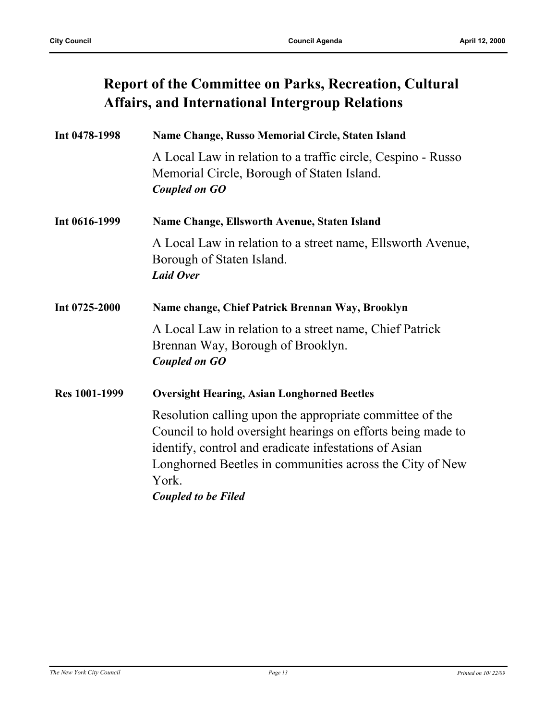## **Report of the Committee on Parks, Recreation, Cultural Affairs, and International Intergroup Relations**

| Int 0478-1998        | Name Change, Russo Memorial Circle, Staten Island                                                                                                                                                                                                                                   |
|----------------------|-------------------------------------------------------------------------------------------------------------------------------------------------------------------------------------------------------------------------------------------------------------------------------------|
|                      | A Local Law in relation to a traffic circle, Cespino - Russo<br>Memorial Circle, Borough of Staten Island.<br><b>Coupled on GO</b>                                                                                                                                                  |
| Int 0616-1999        | Name Change, Ellsworth Avenue, Staten Island                                                                                                                                                                                                                                        |
|                      | A Local Law in relation to a street name, Ellsworth Avenue,<br>Borough of Staten Island.<br><b>Laid Over</b>                                                                                                                                                                        |
| Int 0725-2000        | Name change, Chief Patrick Brennan Way, Brooklyn                                                                                                                                                                                                                                    |
|                      | A Local Law in relation to a street name, Chief Patrick<br>Brennan Way, Borough of Brooklyn.<br><b>Coupled on GO</b>                                                                                                                                                                |
| <b>Res 1001-1999</b> | <b>Oversight Hearing, Asian Longhorned Beetles</b>                                                                                                                                                                                                                                  |
|                      | Resolution calling upon the appropriate committee of the<br>Council to hold oversight hearings on efforts being made to<br>identify, control and eradicate infestations of Asian<br>Longhorned Beetles in communities across the City of New<br>York.<br><b>Coupled to be Filed</b> |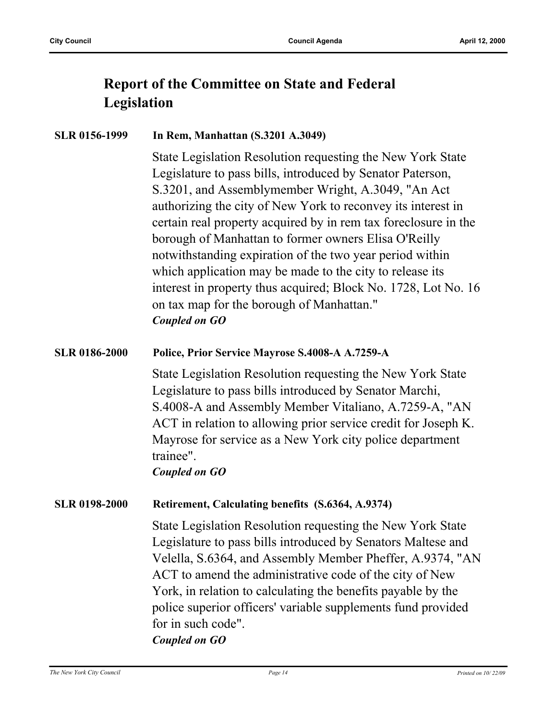## **Report of the Committee on State and Federal Legislation**

#### **SLR 0156-1999 In Rem, Manhattan (S.3201 A.3049)**

State Legislation Resolution requesting the New York State Legislature to pass bills, introduced by Senator Paterson, S.3201, and Assemblymember Wright, A.3049, "An Act authorizing the city of New York to reconvey its interest in certain real property acquired by in rem tax foreclosure in the borough of Manhattan to former owners Elisa O'Reilly notwithstanding expiration of the two year period within which application may be made to the city to release its interest in property thus acquired; Block No. 1728, Lot No. 16 on tax map for the borough of Manhattan." *Coupled on GO*

#### **SLR 0186-2000 Police, Prior Service Mayrose S.4008-A A.7259-A**

State Legislation Resolution requesting the New York State Legislature to pass bills introduced by Senator Marchi, S.4008-A and Assembly Member Vitaliano, A.7259-A, "AN ACT in relation to allowing prior service credit for Joseph K. Mayrose for service as a New York city police department trainee".

*Coupled on GO*

#### **SLR 0198-2000 Retirement, Calculating benefits (S.6364, A.9374)**

State Legislation Resolution requesting the New York State Legislature to pass bills introduced by Senators Maltese and Velella, S.6364, and Assembly Member Pheffer, A.9374, "AN ACT to amend the administrative code of the city of New York, in relation to calculating the benefits payable by the police superior officers' variable supplements fund provided for in such code". *Coupled on GO*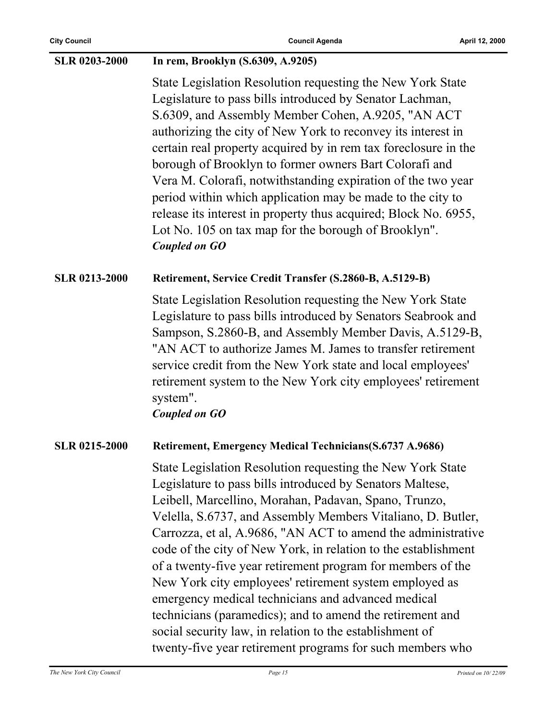| <b>SLR 0203-2000</b> | In rem, Brooklyn (S.6309, A.9205)                                                                                                                                                                                                                                                                                                                                                                                                                                                                                                                                                                                                                                                                                                                      |
|----------------------|--------------------------------------------------------------------------------------------------------------------------------------------------------------------------------------------------------------------------------------------------------------------------------------------------------------------------------------------------------------------------------------------------------------------------------------------------------------------------------------------------------------------------------------------------------------------------------------------------------------------------------------------------------------------------------------------------------------------------------------------------------|
|                      | State Legislation Resolution requesting the New York State<br>Legislature to pass bills introduced by Senator Lachman,<br>S.6309, and Assembly Member Cohen, A.9205, "AN ACT<br>authorizing the city of New York to reconvey its interest in<br>certain real property acquired by in rem tax foreclosure in the<br>borough of Brooklyn to former owners Bart Colorafi and<br>Vera M. Colorafi, notwithstanding expiration of the two year<br>period within which application may be made to the city to<br>release its interest in property thus acquired; Block No. 6955,<br>Lot No. 105 on tax map for the borough of Brooklyn".<br><b>Coupled on GO</b>                                                                                             |
| <b>SLR 0213-2000</b> | Retirement, Service Credit Transfer (S.2860-B, A.5129-B)                                                                                                                                                                                                                                                                                                                                                                                                                                                                                                                                                                                                                                                                                               |
|                      | State Legislation Resolution requesting the New York State<br>Legislature to pass bills introduced by Senators Seabrook and<br>Sampson, S.2860-B, and Assembly Member Davis, A.5129-B,<br>"AN ACT to authorize James M. James to transfer retirement<br>service credit from the New York state and local employees'<br>retirement system to the New York city employees' retirement<br>system".<br><b>Coupled on GO</b>                                                                                                                                                                                                                                                                                                                                |
| <b>SLR 0215-2000</b> | <b>Retirement, Emergency Medical Technicians (S.6737 A.9686)</b>                                                                                                                                                                                                                                                                                                                                                                                                                                                                                                                                                                                                                                                                                       |
|                      | State Legislation Resolution requesting the New York State<br>Legislature to pass bills introduced by Senators Maltese,<br>Leibell, Marcellino, Morahan, Padavan, Spano, Trunzo,<br>Velella, S.6737, and Assembly Members Vitaliano, D. Butler,<br>Carrozza, et al, A.9686, "AN ACT to amend the administrative<br>code of the city of New York, in relation to the establishment<br>of a twenty-five year retirement program for members of the<br>New York city employees' retirement system employed as<br>emergency medical technicians and advanced medical<br>technicians (paramedics); and to amend the retirement and<br>social security law, in relation to the establishment of<br>twenty-five year retirement programs for such members who |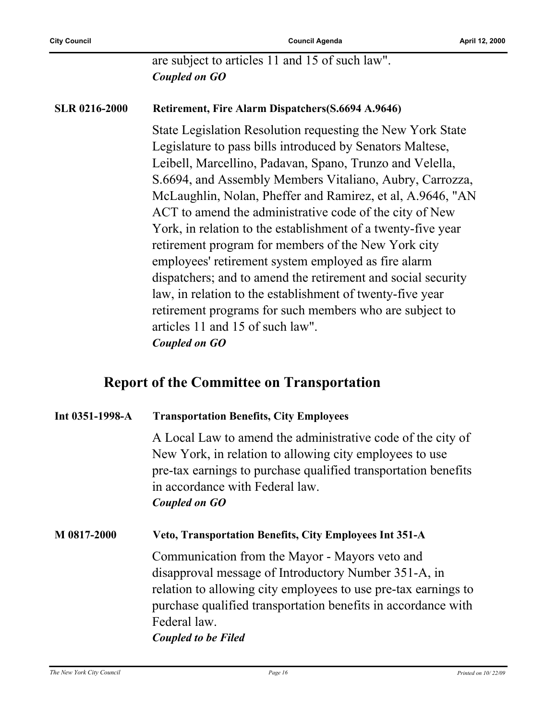**City Council Council Agenda April 12, 2000**

are subject to articles 11 and 15 of such law". *Coupled on GO*

#### **SLR 0216-2000 Retirement, Fire Alarm Dispatchers(S.6694 A.9646)**

State Legislation Resolution requesting the New York State Legislature to pass bills introduced by Senators Maltese, Leibell, Marcellino, Padavan, Spano, Trunzo and Velella, S.6694, and Assembly Members Vitaliano, Aubry, Carrozza, McLaughlin, Nolan, Pheffer and Ramirez, et al, A.9646, "AN ACT to amend the administrative code of the city of New York, in relation to the establishment of a twenty-five year retirement program for members of the New York city employees' retirement system employed as fire alarm dispatchers; and to amend the retirement and social security law, in relation to the establishment of twenty-five year retirement programs for such members who are subject to articles 11 and 15 of such law". *Coupled on GO*

#### **Report of the Committee on Transportation**

#### **Int 0351-1998-A Transportation Benefits, City Employees**

A Local Law to amend the administrative code of the city of New York, in relation to allowing city employees to use pre-tax earnings to purchase qualified transportation benefits in accordance with Federal law. *Coupled on GO*

#### **M 0817-2000 Veto, Transportation Benefits, City Employees Int 351-A**

Communication from the Mayor - Mayors veto and disapproval message of Introductory Number 351-A, in relation to allowing city employees to use pre-tax earnings to purchase qualified transportation benefits in accordance with Federal law.

*Coupled to be Filed*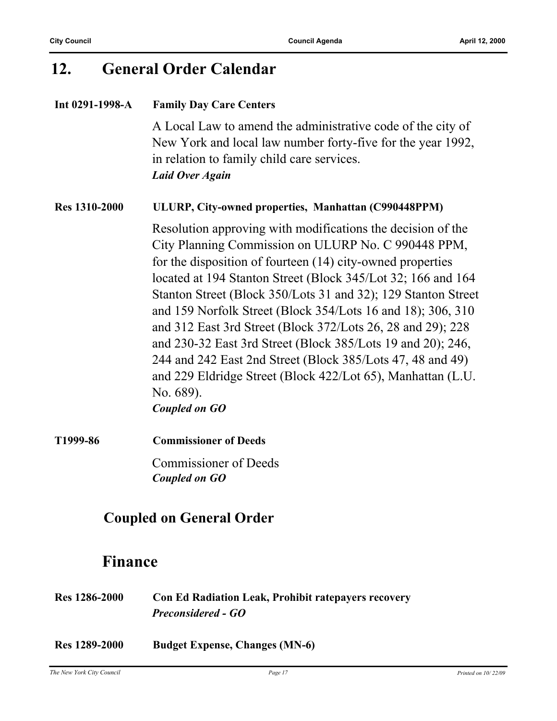### **12. General Order Calendar**

#### **Int 0291-1998-A Family Day Care Centers**

A Local Law to amend the administrative code of the city of New York and local law number forty-five for the year 1992, in relation to family child care services. *Laid Over Again*

#### **Res 1310-2000 ULURP, City-owned properties, Manhattan (C990448PPM)**

Resolution approving with modifications the decision of the City Planning Commission on ULURP No. C 990448 PPM, for the disposition of fourteen (14) city-owned properties located at 194 Stanton Street (Block 345/Lot 32; 166 and 164 Stanton Street (Block 350/Lots 31 and 32); 129 Stanton Street and 159 Norfolk Street (Block 354/Lots 16 and 18); 306, 310 and 312 East 3rd Street (Block 372/Lots 26, 28 and 29); 228 and 230-32 East 3rd Street (Block 385/Lots 19 and 20); 246, 244 and 242 East 2nd Street (Block 385/Lots 47, 48 and 49) and 229 Eldridge Street (Block 422/Lot 65), Manhattan (L.U. No. 689). *Coupled on GO*

**T1999-86 Commissioner of Deeds** Commissioner of Deeds *Coupled on GO*

### **Coupled on General Order**

### **Finance**

| <b>Res</b> 1286-2000 | <b>Con Ed Radiation Leak, Prohibit ratepayers recovery</b> |
|----------------------|------------------------------------------------------------|
|                      | <b>Preconsidered - GO</b>                                  |

**Res 1289-2000 Budget Expense, Changes (MN-6)**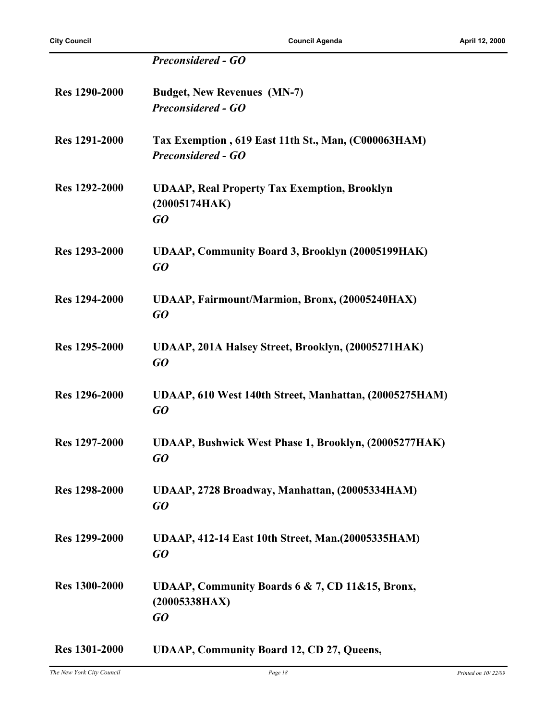|                      | <b>Preconsidered - GO</b>                                                        |
|----------------------|----------------------------------------------------------------------------------|
| <b>Res 1290-2000</b> | <b>Budget, New Revenues (MN-7)</b><br><b>Preconsidered - GO</b>                  |
| <b>Res 1291-2000</b> | Tax Exemption, 619 East 11th St., Man, (C000063HAM)<br><b>Preconsidered - GO</b> |
| <b>Res 1292-2000</b> | <b>UDAAP, Real Property Tax Exemption, Brooklyn</b><br>(20005174HAK)<br>GO       |
| Res 1293-2000        | <b>UDAAP, Community Board 3, Brooklyn (20005199HAK)</b><br>GQ                    |
| <b>Res 1294-2000</b> | UDAAP, Fairmount/Marmion, Bronx, (20005240HAX)<br>$G$ O                          |
| Res 1295-2000        | UDAAP, 201A Halsey Street, Brooklyn, (20005271HAK)<br>GO                         |
| Res 1296-2000        | UDAAP, 610 West 140th Street, Manhattan, (20005275HAM)<br>$G$ O                  |
| Res 1297-2000        | <b>UDAAP, Bushwick West Phase 1, Brooklyn, (20005277HAK)</b><br>GQ               |
| Res 1298-2000        | UDAAP, 2728 Broadway, Manhattan, (20005334HAM)<br>GO                             |
| <b>Res</b> 1299-2000 | UDAAP, 412-14 East 10th Street, Man. (20005335HAM)<br>GO                         |
| <b>Res 1300-2000</b> | UDAAP, Community Boards 6 & 7, CD 11&15, Bronx,<br>(20005338HAX)<br>GO           |
| <b>Res</b> 1301-2000 | <b>UDAAP, Community Board 12, CD 27, Queens,</b>                                 |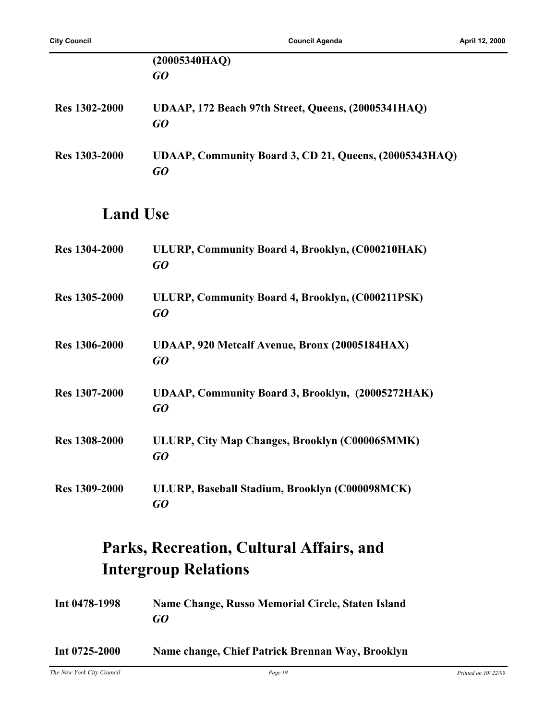|                      | (20005340HAQ)                                                |
|----------------------|--------------------------------------------------------------|
|                      | GQ                                                           |
| Res 1302-2000        | UDAAP, 172 Beach 97th Street, Queens, (20005341HAQ)<br>GO    |
| <b>Res 1303-2000</b> | UDAAP, Community Board 3, CD 21, Queens, (20005343HAQ)<br>GO |
| <b>Land Use</b>      |                                                              |
| <b>Res 1304-2000</b> | ULURP, Community Board 4, Brooklyn, (C000210HAK)<br>GQ       |
| Res 1305-2000        | ULURP, Community Board 4, Brooklyn, (C000211PSK)<br>GQ       |
| <b>Res 1306-2000</b> | UDAAP, 920 Metcalf Avenue, Bronx (20005184HAX)<br>GO         |
| Res 1307-2000        | UDAAP, Community Board 3, Brooklyn, (20005272HAK)<br>GO      |
| <b>Res 1308-2000</b> | ULURP, City Map Changes, Brooklyn (C000065MMK)<br>GO         |
| <b>Res 1309-2000</b> | ULURP, Baseball Stadium, Brooklyn (C000098MCK)<br>GO         |

## **Parks, Recreation, Cultural Affairs, and Intergroup Relations**

| Int 0478-1998 | Name Change, Russo Memorial Circle, Staten Island |
|---------------|---------------------------------------------------|
|               | GO                                                |

#### **Int 0725-2000 Name change, Chief Patrick Brennan Way, Brooklyn**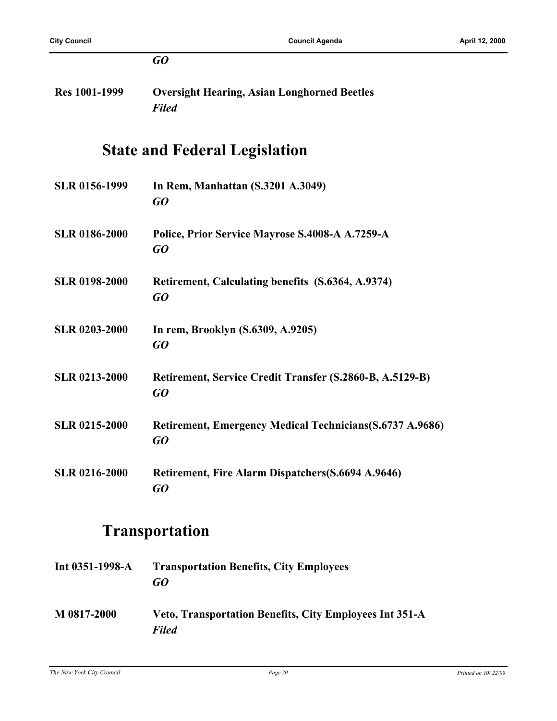|                      | GO                                                                 |
|----------------------|--------------------------------------------------------------------|
| <b>Res 1001-1999</b> | <b>Oversight Hearing, Asian Longhorned Beetles</b><br><b>Filed</b> |
|                      | <b>State and Federal Legislation</b>                               |
| SLR 0156-1999        | In Rem, Manhattan (S.3201 A.3049)<br>GO                            |
| <b>SLR 0186-2000</b> | Police, Prior Service Mayrose S.4008-A A.7259-A<br>GO              |
| <b>SLR 0198-2000</b> | Retirement, Calculating benefits (S.6364, A.9374)<br>GO            |
| <b>SLR 0203-2000</b> | In rem, Brooklyn (S.6309, A.9205)<br>GO                            |
| <b>SLR 0213-2000</b> | Retirement, Service Credit Transfer (S.2860-B, A.5129-B)<br>GO     |
| <b>SLR 0215-2000</b> | Retirement, Emergency Medical Technicians(S.6737 A.9686)<br>GO     |
| <b>SLR 0216-2000</b> | Retirement, Fire Alarm Dispatchers(S.6694 A.9646)<br>GO            |
|                      |                                                                    |

## **Transportation**

| Int $0351-1998-A$ | <b>Transportation Benefits, City Employees</b><br>GO                           |
|-------------------|--------------------------------------------------------------------------------|
| M 0817-2000       | <b>Veto, Transportation Benefits, City Employees Int 351-A</b><br><b>Filed</b> |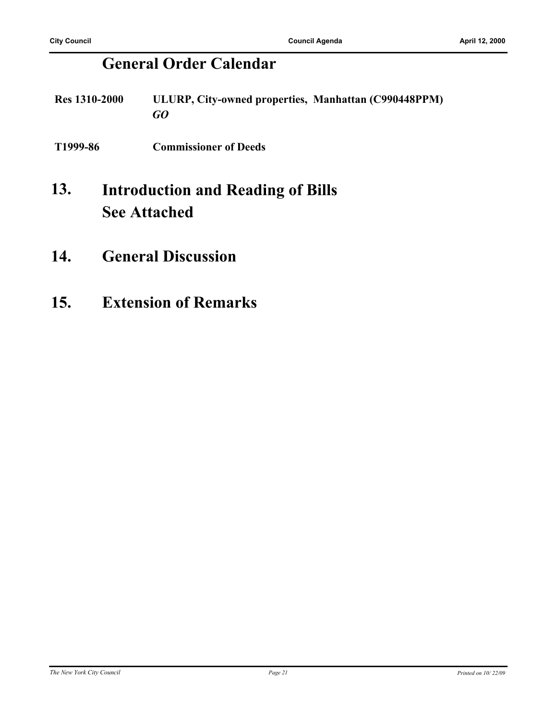## **General Order Calendar**

- **Res 1310-2000 ULURP, City-owned properties, Manhattan (C990448PPM)** *GO*
- **T1999-86 Commissioner of Deeds**

#### **Introduction and Reading of Bills See Attached 13.**

- **14. General Discussion**
- **15. Extension of Remarks**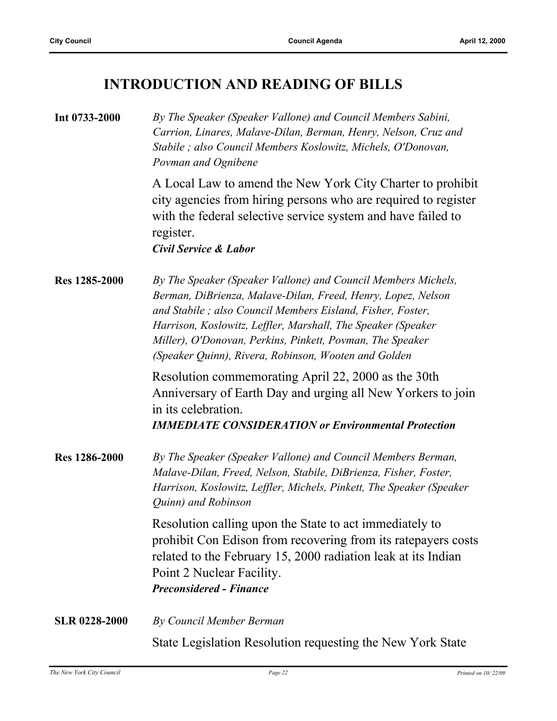## **INTRODUCTION AND READING OF BILLS**

| Int 0733-2000        | By The Speaker (Speaker Vallone) and Council Members Sabini,<br>Carrion, Linares, Malave-Dilan, Berman, Henry, Nelson, Cruz and<br>Stabile; also Council Members Koslowitz, Michels, O'Donovan,<br>Povman and Ognibene                                                                                                                                                           |
|----------------------|----------------------------------------------------------------------------------------------------------------------------------------------------------------------------------------------------------------------------------------------------------------------------------------------------------------------------------------------------------------------------------|
|                      | A Local Law to amend the New York City Charter to prohibit<br>city agencies from hiring persons who are required to register<br>with the federal selective service system and have failed to<br>register.<br><b>Civil Service &amp; Labor</b>                                                                                                                                    |
| Res 1285-2000        | By The Speaker (Speaker Vallone) and Council Members Michels,<br>Berman, DiBrienza, Malave-Dilan, Freed, Henry, Lopez, Nelson<br>and Stabile; also Council Members Eisland, Fisher, Foster,<br>Harrison, Koslowitz, Leffler, Marshall, The Speaker (Speaker<br>Miller), O'Donovan, Perkins, Pinkett, Povman, The Speaker<br>(Speaker Quinn), Rivera, Robinson, Wooten and Golden |
|                      | Resolution commemorating April 22, 2000 as the 30th<br>Anniversary of Earth Day and urging all New Yorkers to join<br>in its celebration.<br><b>IMMEDIATE CONSIDERATION or Environmental Protection</b>                                                                                                                                                                          |
| Res 1286-2000        | By The Speaker (Speaker Vallone) and Council Members Berman,<br>Malave-Dilan, Freed, Nelson, Stabile, DiBrienza, Fisher, Foster,<br>Harrison, Koslowitz, Leffler, Michels, Pinkett, The Speaker (Speaker<br>Quinn) and Robinson                                                                                                                                                  |
|                      | Resolution calling upon the State to act immediately to<br>prohibit Con Edison from recovering from its ratepayers costs<br>related to the February 15, 2000 radiation leak at its Indian<br>Point 2 Nuclear Facility.<br><b>Preconsidered - Finance</b>                                                                                                                         |
| <b>SLR 0228-2000</b> | By Council Member Berman                                                                                                                                                                                                                                                                                                                                                         |
|                      | State Legislation Resolution requesting the New York State                                                                                                                                                                                                                                                                                                                       |

*The New York City Council Page 22 Printed on 10/ 22/09*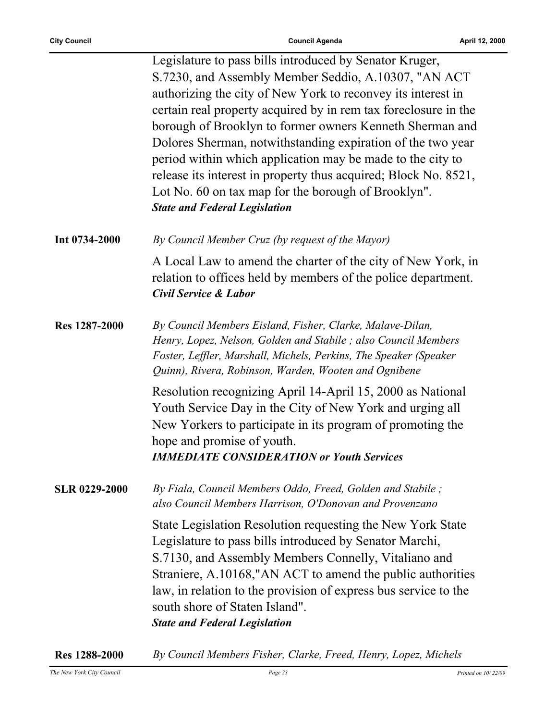|                      | Legislature to pass bills introduced by Senator Kruger,<br>S.7230, and Assembly Member Seddio, A.10307, "AN ACT<br>authorizing the city of New York to reconvey its interest in<br>certain real property acquired by in rem tax foreclosure in the<br>borough of Brooklyn to former owners Kenneth Sherman and<br>Dolores Sherman, notwithstanding expiration of the two year<br>period within which application may be made to the city to<br>release its interest in property thus acquired; Block No. 8521,<br>Lot No. 60 on tax map for the borough of Brooklyn".<br><b>State and Federal Legislation</b> |
|----------------------|---------------------------------------------------------------------------------------------------------------------------------------------------------------------------------------------------------------------------------------------------------------------------------------------------------------------------------------------------------------------------------------------------------------------------------------------------------------------------------------------------------------------------------------------------------------------------------------------------------------|
| Int 0734-2000        | By Council Member Cruz (by request of the Mayor)                                                                                                                                                                                                                                                                                                                                                                                                                                                                                                                                                              |
|                      | A Local Law to amend the charter of the city of New York, in<br>relation to offices held by members of the police department.<br>Civil Service & Labor                                                                                                                                                                                                                                                                                                                                                                                                                                                        |
| Res 1287-2000        | By Council Members Eisland, Fisher, Clarke, Malave-Dilan,<br>Henry, Lopez, Nelson, Golden and Stabile; also Council Members<br>Foster, Leffler, Marshall, Michels, Perkins, The Speaker (Speaker<br>Quinn), Rivera, Robinson, Warden, Wooten and Ognibene                                                                                                                                                                                                                                                                                                                                                     |
|                      | Resolution recognizing April 14-April 15, 2000 as National<br>Youth Service Day in the City of New York and urging all<br>New Yorkers to participate in its program of promoting the<br>hope and promise of youth.<br><b>IMMEDIATE CONSIDERATION or Youth Services</b>                                                                                                                                                                                                                                                                                                                                        |
| <b>SLR 0229-2000</b> | By Fiala, Council Members Oddo, Freed, Golden and Stabile;<br>also Council Members Harrison, O'Donovan and Provenzano                                                                                                                                                                                                                                                                                                                                                                                                                                                                                         |
|                      | State Legislation Resolution requesting the New York State<br>Legislature to pass bills introduced by Senator Marchi,<br>S.7130, and Assembly Members Connelly, Vitaliano and<br>Straniere, A.10168,"AN ACT to amend the public authorities<br>law, in relation to the provision of express bus service to the<br>south shore of Staten Island".<br><b>State and Federal Legislation</b>                                                                                                                                                                                                                      |

**Res 1288-2000** *By Council Members Fisher, Clarke, Freed, Henry, Lopez, Michels*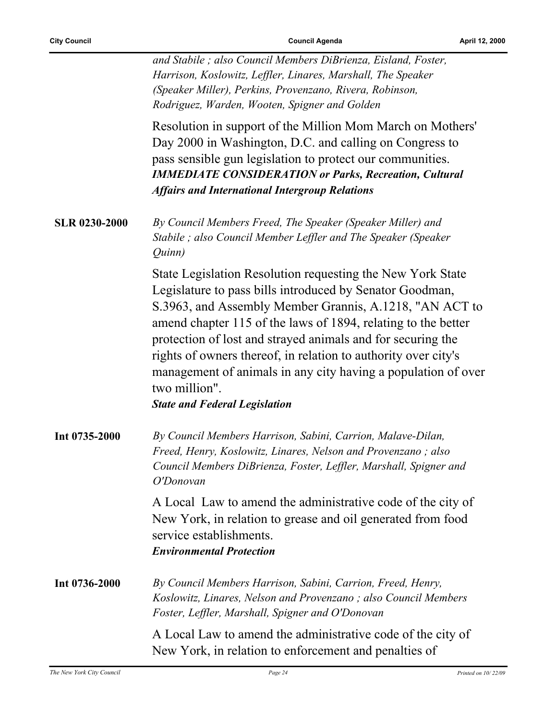$\overline{a}$ 

|                      | and Stabile; also Council Members DiBrienza, Eisland, Foster,<br>Harrison, Koslowitz, Leffler, Linares, Marshall, The Speaker<br>(Speaker Miller), Perkins, Provenzano, Rivera, Robinson,<br>Rodriguez, Warden, Wooten, Spigner and Golden                                                                                                                                                                                                                                                                    |
|----------------------|---------------------------------------------------------------------------------------------------------------------------------------------------------------------------------------------------------------------------------------------------------------------------------------------------------------------------------------------------------------------------------------------------------------------------------------------------------------------------------------------------------------|
|                      | Resolution in support of the Million Mom March on Mothers'<br>Day 2000 in Washington, D.C. and calling on Congress to<br>pass sensible gun legislation to protect our communities.<br><b>IMMEDIATE CONSIDERATION or Parks, Recreation, Cultural</b><br><b>Affairs and International Intergroup Relations</b>                                                                                                                                                                                                  |
| <b>SLR 0230-2000</b> | By Council Members Freed, The Speaker (Speaker Miller) and<br>Stabile; also Council Member Leffler and The Speaker (Speaker<br>Quinn)                                                                                                                                                                                                                                                                                                                                                                         |
|                      | State Legislation Resolution requesting the New York State<br>Legislature to pass bills introduced by Senator Goodman,<br>S.3963, and Assembly Member Grannis, A.1218, "AN ACT to<br>amend chapter 115 of the laws of 1894, relating to the better<br>protection of lost and strayed animals and for securing the<br>rights of owners thereof, in relation to authority over city's<br>management of animals in any city having a population of over<br>two million".<br><b>State and Federal Legislation</b> |
| Int 0735-2000        | By Council Members Harrison, Sabini, Carrion, Malave-Dilan,<br>Freed, Henry, Koslowitz, Linares, Nelson and Provenzano; also<br>Council Members DiBrienza, Foster, Leffler, Marshall, Spigner and<br>O'Donovan                                                                                                                                                                                                                                                                                                |
|                      | A Local Law to amend the administrative code of the city of<br>New York, in relation to grease and oil generated from food<br>service establishments.<br><b>Environmental Protection</b>                                                                                                                                                                                                                                                                                                                      |
| Int 0736-2000        | By Council Members Harrison, Sabini, Carrion, Freed, Henry,<br>Koslowitz, Linares, Nelson and Provenzano; also Council Members<br>Foster, Leffler, Marshall, Spigner and O'Donovan                                                                                                                                                                                                                                                                                                                            |
|                      | A Local Law to amend the administrative code of the city of<br>New York, in relation to enforcement and penalties of                                                                                                                                                                                                                                                                                                                                                                                          |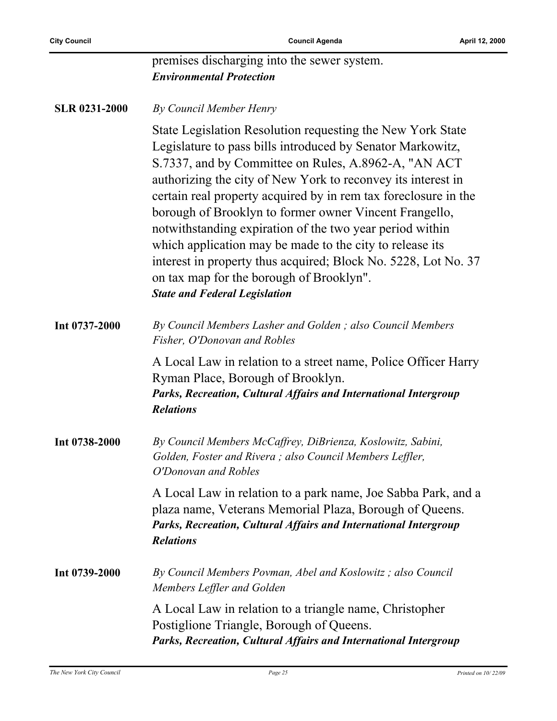$\overline{a}$ 

**City Council Council Agenda Council Agenda April 12, 2000** 

|                      | premises discharging into the sewer system.<br><b>Environmental Protection</b>                                                                                                                                                                                                                                                                                                                                                                                                                                                                                                                                                                              |
|----------------------|-------------------------------------------------------------------------------------------------------------------------------------------------------------------------------------------------------------------------------------------------------------------------------------------------------------------------------------------------------------------------------------------------------------------------------------------------------------------------------------------------------------------------------------------------------------------------------------------------------------------------------------------------------------|
| <b>SLR 0231-2000</b> | By Council Member Henry                                                                                                                                                                                                                                                                                                                                                                                                                                                                                                                                                                                                                                     |
|                      | State Legislation Resolution requesting the New York State<br>Legislature to pass bills introduced by Senator Markowitz,<br>S.7337, and by Committee on Rules, A.8962-A, "AN ACT<br>authorizing the city of New York to reconvey its interest in<br>certain real property acquired by in rem tax foreclosure in the<br>borough of Brooklyn to former owner Vincent Frangello,<br>notwithstanding expiration of the two year period within<br>which application may be made to the city to release its<br>interest in property thus acquired; Block No. 5228, Lot No. 37<br>on tax map for the borough of Brooklyn".<br><b>State and Federal Legislation</b> |
| Int 0737-2000        | By Council Members Lasher and Golden; also Council Members<br>Fisher, O'Donovan and Robles                                                                                                                                                                                                                                                                                                                                                                                                                                                                                                                                                                  |
|                      | A Local Law in relation to a street name, Police Officer Harry<br>Ryman Place, Borough of Brooklyn.<br>Parks, Recreation, Cultural Affairs and International Intergroup<br><b>Relations</b>                                                                                                                                                                                                                                                                                                                                                                                                                                                                 |
| Int 0738-2000        | By Council Members McCaffrey, DiBrienza, Koslowitz, Sabini,<br>Golden, Foster and Rivera; also Council Members Leffler,<br>O'Donovan and Robles                                                                                                                                                                                                                                                                                                                                                                                                                                                                                                             |
|                      | A Local Law in relation to a park name, Joe Sabba Park, and a<br>plaza name, Veterans Memorial Plaza, Borough of Queens.<br>Parks, Recreation, Cultural Affairs and International Intergroup<br><b>Relations</b>                                                                                                                                                                                                                                                                                                                                                                                                                                            |
| Int 0739-2000        | By Council Members Povman, Abel and Koslowitz; also Council<br>Members Leffler and Golden                                                                                                                                                                                                                                                                                                                                                                                                                                                                                                                                                                   |
|                      | A Local Law in relation to a triangle name, Christopher<br>Postiglione Triangle, Borough of Queens.<br>Parks, Recreation, Cultural Affairs and International Intergroup                                                                                                                                                                                                                                                                                                                                                                                                                                                                                     |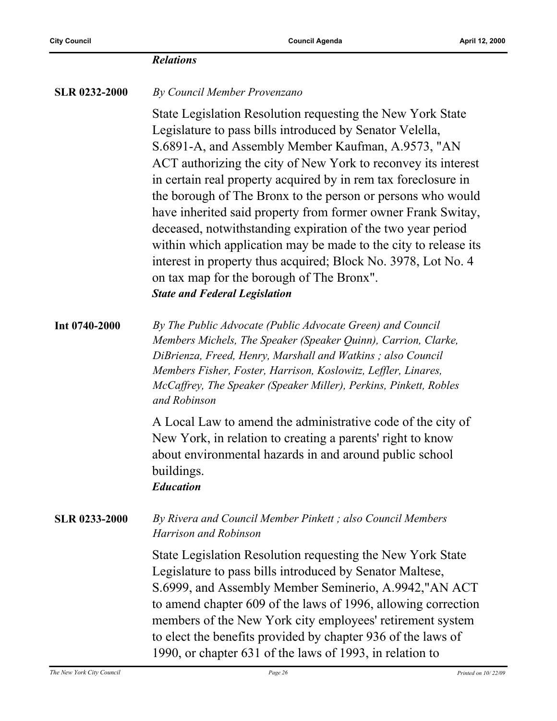|                      | <b>Relations</b>                                                                                                                                                                                                                                                                                                                                                                                                                                                                                                                                                                                                                                                                                                                       |
|----------------------|----------------------------------------------------------------------------------------------------------------------------------------------------------------------------------------------------------------------------------------------------------------------------------------------------------------------------------------------------------------------------------------------------------------------------------------------------------------------------------------------------------------------------------------------------------------------------------------------------------------------------------------------------------------------------------------------------------------------------------------|
| <b>SLR 0232-2000</b> | By Council Member Provenzano                                                                                                                                                                                                                                                                                                                                                                                                                                                                                                                                                                                                                                                                                                           |
|                      | State Legislation Resolution requesting the New York State<br>Legislature to pass bills introduced by Senator Velella,<br>S.6891-A, and Assembly Member Kaufman, A.9573, "AN<br>ACT authorizing the city of New York to reconvey its interest<br>in certain real property acquired by in rem tax foreclosure in<br>the borough of The Bronx to the person or persons who would<br>have inherited said property from former owner Frank Switay,<br>deceased, notwithstanding expiration of the two year period<br>within which application may be made to the city to release its<br>interest in property thus acquired; Block No. 3978, Lot No. 4<br>on tax map for the borough of The Bronx".<br><b>State and Federal Legislation</b> |
| Int 0740-2000        | By The Public Advocate (Public Advocate Green) and Council<br>Members Michels, The Speaker (Speaker Quinn), Carrion, Clarke,<br>DiBrienza, Freed, Henry, Marshall and Watkins; also Council<br>Members Fisher, Foster, Harrison, Koslowitz, Leffler, Linares,<br>McCaffrey, The Speaker (Speaker Miller), Perkins, Pinkett, Robles<br>and Robinson                                                                                                                                                                                                                                                                                                                                                                                     |
|                      | A Local Law to amend the administrative code of the city of<br>New York, in relation to creating a parents' right to know<br>about environmental hazards in and around public school<br>buildings.<br><b>Education</b>                                                                                                                                                                                                                                                                                                                                                                                                                                                                                                                 |
| <b>SLR 0233-2000</b> | By Rivera and Council Member Pinkett; also Council Members<br>Harrison and Robinson                                                                                                                                                                                                                                                                                                                                                                                                                                                                                                                                                                                                                                                    |
|                      | State Legislation Resolution requesting the New York State<br>Legislature to pass bills introduced by Senator Maltese,<br>S.6999, and Assembly Member Seminerio, A.9942,"AN ACT<br>to amend chapter 609 of the laws of 1996, allowing correction<br>members of the New York city employees' retirement system<br>to elect the benefits provided by chapter 936 of the laws of<br>1990, or chapter 631 of the laws of 1993, in relation to                                                                                                                                                                                                                                                                                              |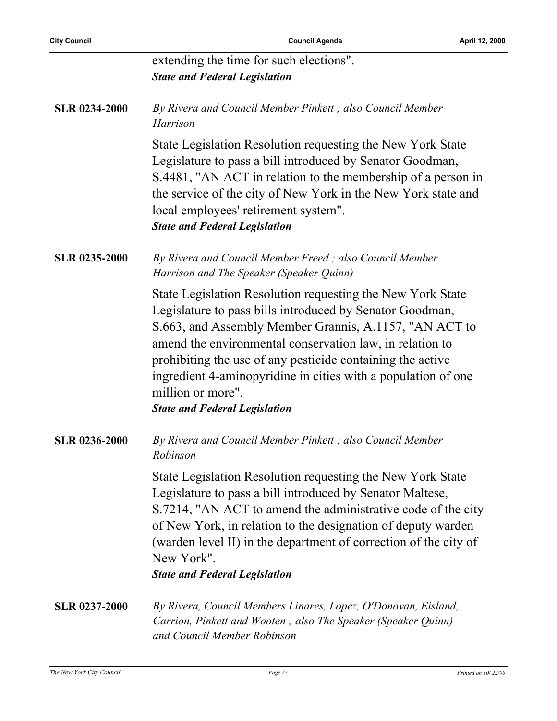|                      | extending the time for such elections".                                                                                                                                                                                                                                                                                                                                                                                                  |
|----------------------|------------------------------------------------------------------------------------------------------------------------------------------------------------------------------------------------------------------------------------------------------------------------------------------------------------------------------------------------------------------------------------------------------------------------------------------|
|                      | <b>State and Federal Legislation</b>                                                                                                                                                                                                                                                                                                                                                                                                     |
| <b>SLR 0234-2000</b> | By Rivera and Council Member Pinkett; also Council Member<br>Harrison                                                                                                                                                                                                                                                                                                                                                                    |
|                      | State Legislation Resolution requesting the New York State<br>Legislature to pass a bill introduced by Senator Goodman,<br>S.4481, "AN ACT in relation to the membership of a person in<br>the service of the city of New York in the New York state and<br>local employees' retirement system".<br><b>State and Federal Legislation</b>                                                                                                 |
| <b>SLR 0235-2000</b> | By Rivera and Council Member Freed; also Council Member<br>Harrison and The Speaker (Speaker Quinn)                                                                                                                                                                                                                                                                                                                                      |
|                      | State Legislation Resolution requesting the New York State<br>Legislature to pass bills introduced by Senator Goodman,<br>S.663, and Assembly Member Grannis, A.1157, "AN ACT to<br>amend the environmental conservation law, in relation to<br>prohibiting the use of any pesticide containing the active<br>ingredient 4-aminopyridine in cities with a population of one<br>million or more".<br><b>State and Federal Legislation</b> |
| <b>SLR 0236-2000</b> | By Rivera and Council Member Pinkett; also Council Member<br>Robinson                                                                                                                                                                                                                                                                                                                                                                    |
|                      | State Legislation Resolution requesting the New York State<br>Legislature to pass a bill introduced by Senator Maltese,<br>S.7214, "AN ACT to amend the administrative code of the city<br>of New York, in relation to the designation of deputy warden<br>(warden level II) in the department of correction of the city of<br>New York".<br><b>State and Federal Legislation</b>                                                        |
| <b>SLR 0237-2000</b> | By Rivera, Council Members Linares, Lopez, O'Donovan, Eisland,<br>Carrion, Pinkett and Wooten; also The Speaker (Speaker Quinn)<br>and Council Member Robinson                                                                                                                                                                                                                                                                           |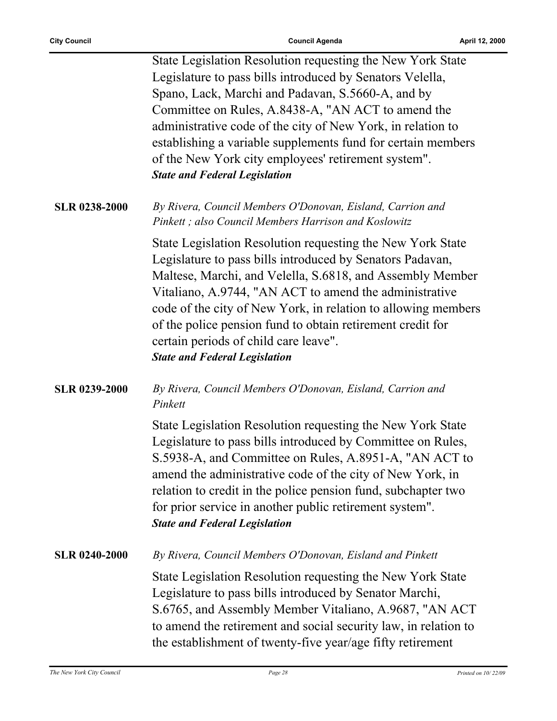ř.

|                      | State Legislation Resolution requesting the New York State<br>Legislature to pass bills introduced by Senators Velella,<br>Spano, Lack, Marchi and Padavan, S.5660-A, and by<br>Committee on Rules, A.8438-A, "AN ACT to amend the<br>administrative code of the city of New York, in relation to<br>establishing a variable supplements fund for certain members<br>of the New York city employees' retirement system".<br><b>State and Federal Legislation</b> |
|----------------------|------------------------------------------------------------------------------------------------------------------------------------------------------------------------------------------------------------------------------------------------------------------------------------------------------------------------------------------------------------------------------------------------------------------------------------------------------------------|
| <b>SLR 0238-2000</b> | By Rivera, Council Members O'Donovan, Eisland, Carrion and<br>Pinkett; also Council Members Harrison and Koslowitz                                                                                                                                                                                                                                                                                                                                               |
|                      | State Legislation Resolution requesting the New York State<br>Legislature to pass bills introduced by Senators Padavan,<br>Maltese, Marchi, and Velella, S.6818, and Assembly Member<br>Vitaliano, A.9744, "AN ACT to amend the administrative<br>code of the city of New York, in relation to allowing members<br>of the police pension fund to obtain retirement credit for<br>certain periods of child care leave".<br><b>State and Federal Legislation</b>   |
| <b>SLR 0239-2000</b> | By Rivera, Council Members O'Donovan, Eisland, Carrion and<br>Pinkett                                                                                                                                                                                                                                                                                                                                                                                            |
|                      | State Legislation Resolution requesting the New York State<br>Legislature to pass bills introduced by Committee on Rules,<br>S.5938-A, and Committee on Rules, A.8951-A, "AN ACT to<br>amend the administrative code of the city of New York, in<br>relation to credit in the police pension fund, subchapter two<br>for prior service in another public retirement system".<br><b>State and Federal Legislation</b>                                             |
| <b>SLR 0240-2000</b> | By Rivera, Council Members O'Donovan, Eisland and Pinkett                                                                                                                                                                                                                                                                                                                                                                                                        |
|                      | State Legislation Resolution requesting the New York State<br>Legislature to pass bills introduced by Senator Marchi,<br>S.6765, and Assembly Member Vitaliano, A.9687, "AN ACT<br>to amend the retirement and social security law, in relation to<br>the establishment of twenty-five year/age fifty retirement                                                                                                                                                 |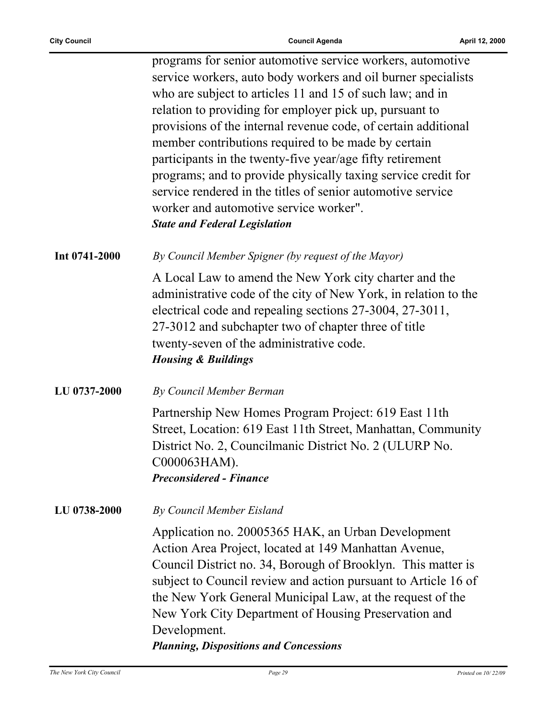|               | programs for senior automotive service workers, automotive                                                                                                                                                                                                                                                                                                                                                                          |
|---------------|-------------------------------------------------------------------------------------------------------------------------------------------------------------------------------------------------------------------------------------------------------------------------------------------------------------------------------------------------------------------------------------------------------------------------------------|
|               | service workers, auto body workers and oil burner specialists                                                                                                                                                                                                                                                                                                                                                                       |
|               | who are subject to articles 11 and 15 of such law; and in                                                                                                                                                                                                                                                                                                                                                                           |
|               | relation to providing for employer pick up, pursuant to                                                                                                                                                                                                                                                                                                                                                                             |
|               | provisions of the internal revenue code, of certain additional                                                                                                                                                                                                                                                                                                                                                                      |
|               | member contributions required to be made by certain                                                                                                                                                                                                                                                                                                                                                                                 |
|               | participants in the twenty-five year/age fifty retirement                                                                                                                                                                                                                                                                                                                                                                           |
|               | programs; and to provide physically taxing service credit for                                                                                                                                                                                                                                                                                                                                                                       |
|               | service rendered in the titles of senior automotive service                                                                                                                                                                                                                                                                                                                                                                         |
|               | worker and automotive service worker".                                                                                                                                                                                                                                                                                                                                                                                              |
|               | <b>State and Federal Legislation</b>                                                                                                                                                                                                                                                                                                                                                                                                |
| Int 0741-2000 | By Council Member Spigner (by request of the Mayor)                                                                                                                                                                                                                                                                                                                                                                                 |
|               | A Local Law to amend the New York city charter and the<br>administrative code of the city of New York, in relation to the<br>electrical code and repealing sections 27-3004, 27-3011,<br>27-3012 and subchapter two of chapter three of title<br>twenty-seven of the administrative code.<br><b>Housing &amp; Buildings</b>                                                                                                         |
| LU 0737-2000  | By Council Member Berman                                                                                                                                                                                                                                                                                                                                                                                                            |
|               | Partnership New Homes Program Project: 619 East 11th<br>Street, Location: 619 East 11th Street, Manhattan, Community<br>District No. 2, Councilmanic District No. 2 (ULURP No.<br>C000063HAM).<br><b>Preconsidered - Finance</b>                                                                                                                                                                                                    |
| LU 0738-2000  | By Council Member Eisland                                                                                                                                                                                                                                                                                                                                                                                                           |
|               | Application no. 20005365 HAK, an Urban Development<br>Action Area Project, located at 149 Manhattan Avenue,<br>Council District no. 34, Borough of Brooklyn. This matter is<br>subject to Council review and action pursuant to Article 16 of<br>the New York General Municipal Law, at the request of the<br>New York City Department of Housing Preservation and<br>Development.<br><b>Planning, Dispositions and Concessions</b> |
|               |                                                                                                                                                                                                                                                                                                                                                                                                                                     |